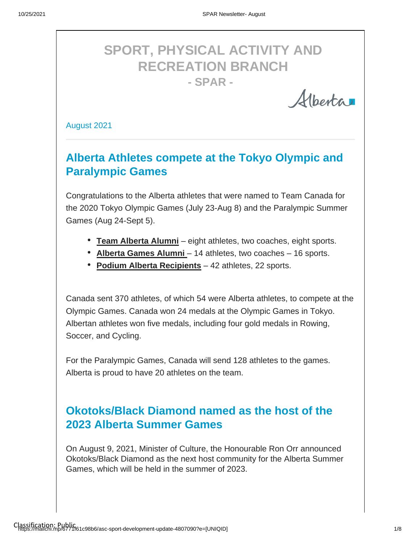# **SPORT, PHYSICAL ACTIVITY AND RECREATION BRANCH - SPAR -**

Alberta

August 2021

# **Alberta Athletes compete at the Tokyo Olympic and Paralympic Games**

Congratulations to the Alberta athletes that were named to Team Canada for the 2020 Tokyo Olympic Games (July 23-Aug 8) and the Paralympic Summer Games (Aug 24-Sept 5).

- **Team Alberta Alumni** eight athletes, two coaches, eight sports.
- Alberta Games Alumni 14 athletes, two coaches 16 sports.
- **Podium Alberta Recipients** 42 athletes, 22 sports.

Canada sent 370 athletes, of which 54 were Alberta athletes, to compete at the Olympic Games. Canada won 24 medals at the Olympic Games in Tokyo. Albertan athletes won five medals, including four gold medals in Rowing, Soccer, and Cycling.

For the Paralympic Games, Canada will send 128 athletes to the games. Alberta is proud to have 20 athletes on the team.

# **Okotoks/Black Diamond named as the host of the 2023 Alberta Summer Games**

On August 9, 2021, Minister of Culture, the Honourable Ron Orr announced Okotoks/Black Diamond as the next host community for the Alberta Summer Games, which will be held in the summer of 2023.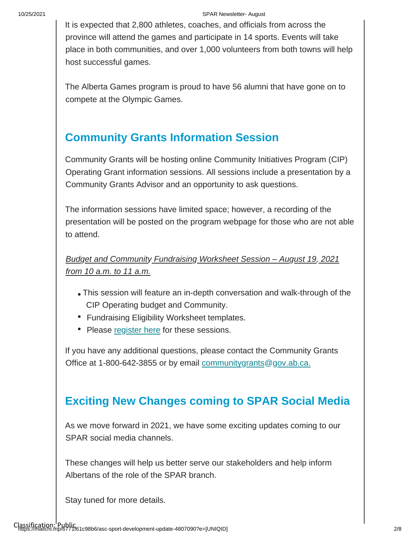#### 10/25/2021 SPAR Newsletter- August

It is expected that 2,800 athletes, coaches, and officials from across the province will attend the games and participate in 14 sports. Events will take place in both communities, and over 1,000 volunteers from both towns will help host successful games.

The Alberta Games program is proud to have 56 alumni that have gone on to compete at the Olympic Games.

### **Community Grants Information Session**

Community Grants will be hosting online Community Initiatives Program (CIP) Operating Grant information sessions. All sessions include a presentation by a Community Grants Advisor and an opportunity to ask questions.

The information sessions have limited space; however, a recording of the presentation will be posted on the program webpage for those who are not able to attend.

*Budget and Community Fundraising Worksheet Session – August 19, 2021 from 10 a.m. to 11 a.m.*

- This session will feature an in-depth conversation and walk-through of the CIP Operating budget and Community.
- Fundraising Eligibility Worksheet templates.
- Please [register here](https://www.alberta.ca/cip-project-based-grant.aspx) for these sessions.

If you have any additional questions, please contact the Community Grants Office at 1-800-642-3855 or by email communitygrants@gov.ab.ca.

### **Exciting New Changes coming to SPAR Social Media**

As we move forward in 2021, we have some exciting updates coming to our SPAR social media channels.

These changes will help us better serve our stakeholders and help inform Albertans of the role of the SPAR branch.

Stay tuned for more details.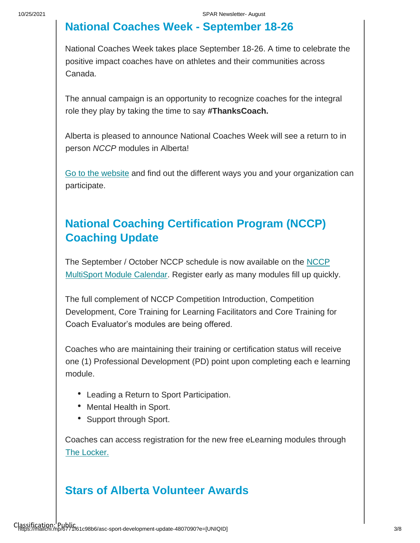### **National Coaches Week - September 18-26**

National Coaches Week takes place September 18-26. A time to celebrate the positive impact coaches have on athletes and their communities across Canada.

The annual campaign is an opportunity to recognize coaches for the integral role they play by taking the time to say **#ThanksCoach.**

Alberta is pleased to announce National Coaches Week will see a return to in person *NCCP* modules in Alberta!

[Go to the website](https://coach.ca/national-coaches-week) and find out the different ways you and your organization can participate.

# **National Coaching Certification Program (NCCP) Coaching Update**

[The September / October NCCP schedule is now available on the NCCP](https://albertasport.ca/nccp-module-calendar/)  [MultiSport Module Calendar. Register early as many modules fill up quickly.](https://albertasport.ca/nccp-module-calendar/) 

The full complement of NCCP Competition Introduction, Competition Development, Core Training for Learning Facilitators and Core Training for Coach Evaluator's modules are being offered.

Coaches who are maintaining their training or certification status will receive one (1) Professional Development (PD) point upon completing each e learning module.

- Leading a Return to Sport Participation.
- Mental Health in Sport.
- Support through Sport.

Coaches can access registration for the new free eLearning modules through [The Locker.](https://can01.safelinks.protection.outlook.com/?url=https%3A%2F%2Fthelocker.coach.ca%2Fonlinelearning&data=04%7C01%7Csheri.wilson%40gov.ab.ca%7C9251f217e1de4445c8a308d9521ceb35%7C2bb51c06af9b42c58bf53c3b7b10850b%7C0%7C0%7C637631106414185786%7CUnknown%7CTWFpbGZsb3d8eyJWIjoiMC4wLjAwMDAiLCJQIjoiV2luMzIiLCJBTiI6Ik1haWwiLCJXVCI6Mn0%3D%7C1000&sdata=ag90eqZ3D7k4mxtEwCHj3e1UXVCeMiLTDY7O0Sp2qzs%3D&reserved=0)

### **Stars of Alberta Volunteer Awards**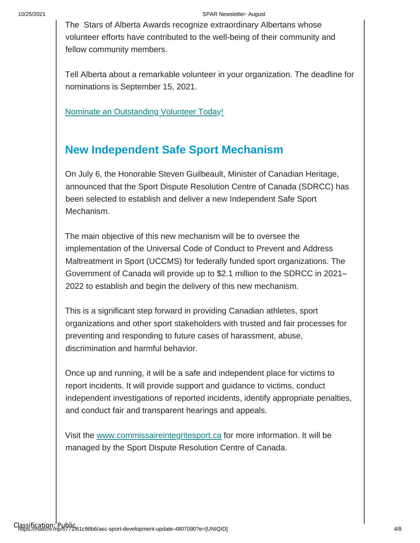#### 10/25/2021 SPAR Newsletter- August

The Stars of Alberta Awards recognize extraordinary Albertans whose volunteer efforts have contributed to the well-being of their community and fellow community members.

Tell Alberta about a remarkable volunteer in your organization. The deadline for nominations is September 15, 2021.

[Nominate an Outstanding](https://www.alberta.ca/stars-of-alberta-volunteer-awards.aspx) [Volunteer Today!](https://www.alberta.ca/stars-of-alberta-volunteer-awards.aspx)

### **New Independent Safe Sport Mechanism**

On July 6, the Honorable Steven Guilbeault, Minister of Canadian Heritage, announced that the Sport Dispute Resolution Centre of Canada (SDRCC) has been selected to establish and deliver a new Independent Safe Sport Mechanism.

The main objective of this new mechanism will be to oversee the implementation of the Universal Code of Conduct to Prevent and Address Maltreatment in Sport (UCCMS) for federally funded sport organizations. The Government of Canada will provide up to \$2.1 million to the SDRCC in 2021– 2022 to establish and begin the delivery of this new mechanism.

This is a significant step forward in providing Canadian athletes, sport organizations and other sport stakeholders with trusted and fair processes for preventing and responding to future cases of harassment, abuse, discrimination and harmful behavior.

Once up and running, it will be a safe and independent place for victims to report incidents. It will provide support and guidance to victims, conduct independent investigations of reported incidents, identify appropriate penalties, and conduct fair and transparent hearings and appeals.

Visit the [www.commissaireintegritesport.ca](http://www.commissaireintegritesport.ca/) [f](http://www.commissaireintegritesport.ca/)or more information. It will be managed by the Sport Dispute Resolution Centre of Canada.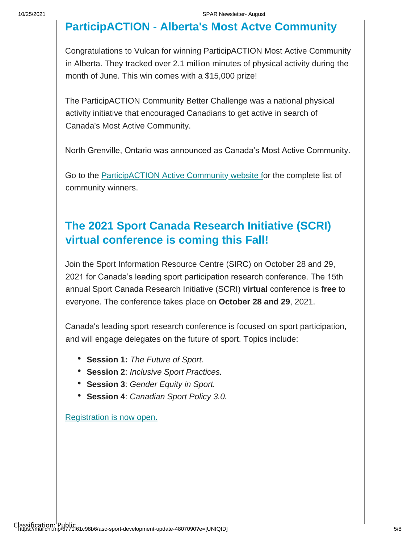## **ParticipACTION - Alberta's Most Actve Community**

Congratulations to Vulcan for winning ParticipACTION Most Active Community in Alberta. They tracked over 2.1 million minutes of physical activity during the month of June. This win comes with a \$15,000 prize!

The ParticipACTION Community Better Challenge was a national physical activity initiative that encouraged Canadians to get active in search of Canada's Most Active Community.

North Grenville, Ontario was announced as Canada's Most Active Community.

Go to the [ParticipACTION Active Community](https://www.participaction.com/en-ca/programs/community-challenge) [website fo](https://www.participaction.com/en-ca/programs/community-challenge)r the complete list of community winners.

### **The 2021 Sport Canada Research Initiative (SCRI) virtual conference is coming this Fall!**

Join the Sport Information Resource Centre (SIRC) on October 28 and 29, 2021 for Canada's leading sport participation research conference. The 15th annual Sport Canada Research Initiative (SCRI) **virtual** conference is **free** to everyone. The conference takes place on **October 28 and 29**, 2021.

Canada's leading sport research conference is focused on sport participation, and will engage delegates on the future of sport. Topics include:

- **Session 1:** *The Future of Sport.*
- **Session 2**: *Inclusive Sport Practices.*
- **Session 3**: *Gender Equity in Sport.*
- **Session 4**: *Canadian Sport Policy 3.0.*

[Registration is now open.](https://sirc.ca/scri/registration-2/)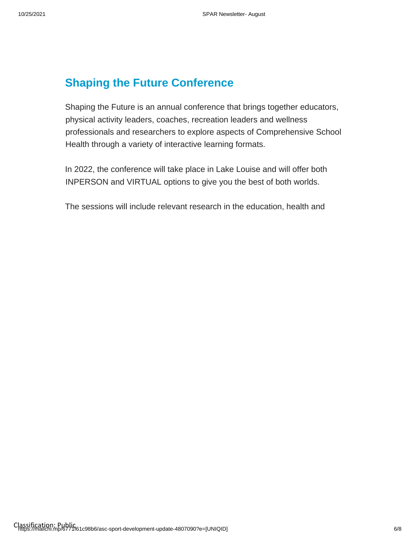# **Shaping the Future Conference**

Shaping the Future is an annual conference that brings together educators, physical activity leaders, coaches, recreation leaders and wellness professionals and researchers to explore aspects of Comprehensive School Health through a variety of interactive learning formats.

In 2022, the conference will take place in Lake Louise and will offer both INPERSON and VIRTUAL options to give you the best of both worlds.

The sessions will include relevant research in the education, health and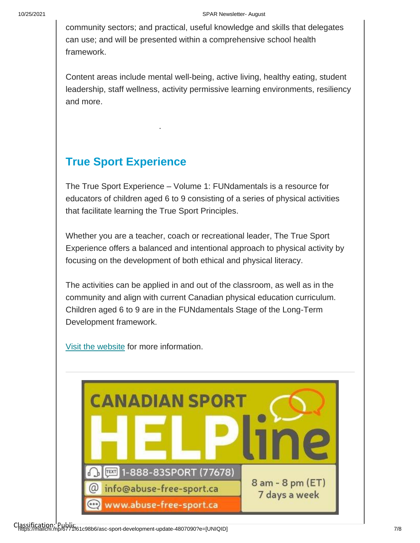#### 10/25/2021 SPAR Newsletter- August

community sectors; and practical, useful knowledge and skills that delegates can use; and will be presented within a comprehensive school health framework.

Content areas include mental well-being, active living, healthy eating, student leadership, staff wellness, activity permissive learning environments, resiliency and more.

### **True Sport Experience**

.

The True Sport Experience – Volume 1: FUNdamentals is a resource for educators of children aged 6 to 9 consisting of a series of physical activities that facilitate learning the True Sport Principles.

Whether you are a teacher, coach or recreational leader, The True Sport Experience offers a balanced and intentional approach to physical activity by focusing on the development of both ethical and physical literacy.

The activities can be applied in and out of the classroom, as well as in the community and align with current Canadian physical education curriculum. Children aged 6 to 9 are in the FUNdamentals Stage of the Long-Term Development framework.

[Visit the website](https://truesportpur.ca/true-sport-experience) for more information.